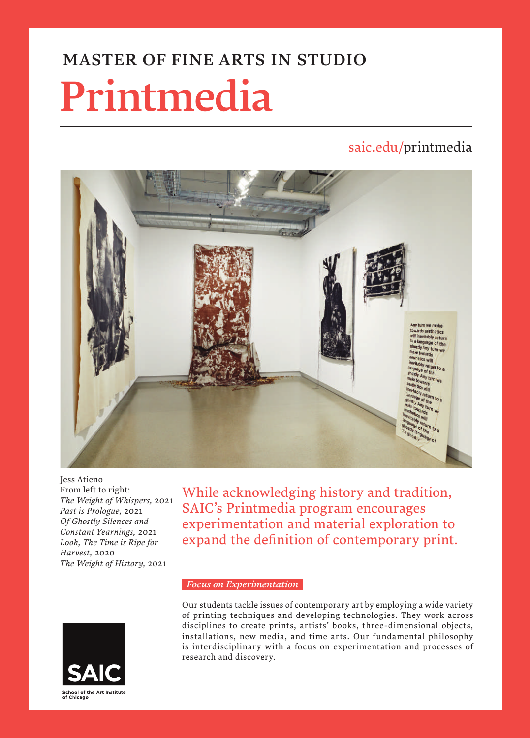# MASTER OF FINE ARTS IN STUDIO

# Printmedia

# saic.edu/printmedia



Jess Atieno From left to right: *The Weight of Whispers,* 2021 *Past is Prologue,* 2021 *Of Ghostly Silences and Constant Yearnings,* 2021 *Look, The Time is Ripe for Harvest,* 2020 *The Weight of History,* 2021

While acknowledging history and tradition, SAIC's Printmedia program encourages experimentation and material exploration to expand the definition of contemporary print.

#### *Focus on Experimentation*



Our students tackle issues of contemporary art by employing a wide variety of printing techniques and developing technologies. They work across disciplines to create prints, artists' books, three-dimensional objects, installations, new media, and time arts. Our fundamental philosophy is interdisciplinary with a focus on experimentation and processes of research and discovery.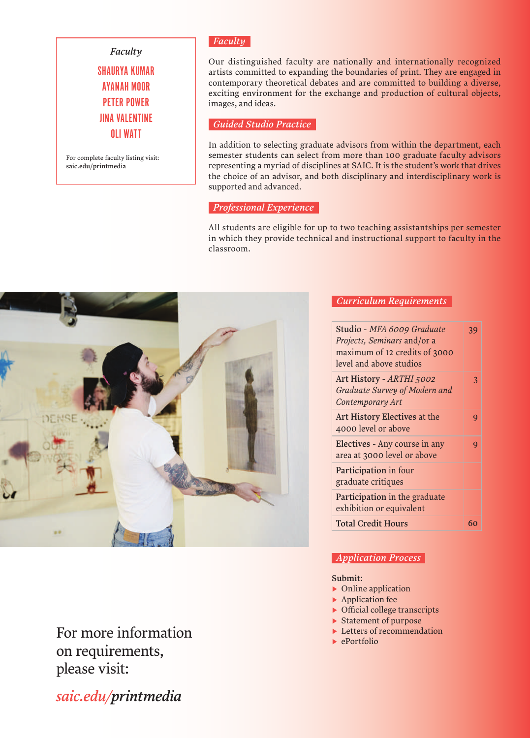## *Faculty*

SHAURYA KUMAR AYANAH MOOR PETER POWER JINA VALENTINE OLI WATT

For complete faculty listing visit: saic.edu/printmedia

## *Faculty*

Our distinguished faculty are nationally and internationally recognized artists committed to expanding the boundaries of print. They are engaged in contemporary theoretical debates and are committed to building a diverse, exciting environment for the exchange and production of cultural objects, images, and ideas.

### *Guided Studio Practice*

In addition to selecting graduate advisors from within the department, each semester students can select from more than 100 graduate faculty advisors representing a myriad of disciplines at SAIC. It is the student's work that drives the choice of an advisor, and both disciplinary and interdisciplinary work is supported and advanced.

#### *Professional Experience*

All students are eligible for up to two teaching assistantships per semester in which they provide technical and instructional support to faculty in the classroom.



# For more information on requirements, please visit:

*saic.edu/printmedia*

## *Curriculum Requirements*

| Studio - MFA 6009 Graduate<br><i>Projects, Seminars and/or a</i><br>maximum of 12 credits of 3000<br>level and above studios | 39 |
|------------------------------------------------------------------------------------------------------------------------------|----|
| Art History - ARTHI 5002<br>Graduate Survey of Modern and<br>Contemporary Art                                                | 3  |
| Art History Electives at the<br>4000 level or above                                                                          | 9  |
| Electives - Any course in any<br>area at 3000 level or above                                                                 | 9  |
| Participation in four<br>graduate critiques                                                                                  |    |
| Participation in the graduate<br>exhibition or equivalent                                                                    |    |
| <b>Total Credit Hours</b>                                                                                                    | 60 |

## *Application Process*

#### Submit:

- ▶ Online application
- ▶ Application fee
- ▶ Official college transcripts
- ▶ Statement of purpose
- ▶ Letters of recommendation
- ▶ ePortfolio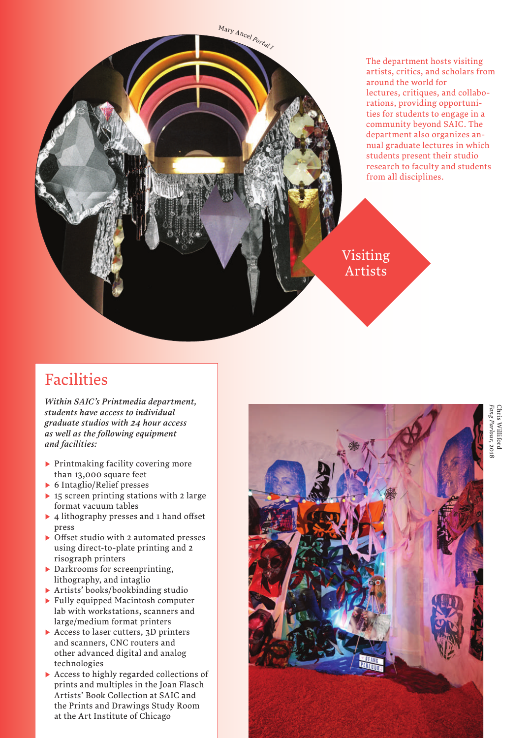The department hosts visiting artists, critics, and scholars from around the world for lectures, critiques, and collaborations, providing opportunities for students to engage in a community beyond SAIC. The department also organizes annual graduate lectures in which students present their studio research to faculty and students from all disciplines.

Visiting Artists

<sup>M</sup><sup>a</sup>r<sup>y</sup> <sup>A</sup>nce<sup>l</sup> *<sup>P</sup>orta<sup>l</sup> <sup>I</sup>*

# Facilities

*Within SAIC's Printmedia department, students have access to individual graduate studios with 24 hour access as well as the following equipment and facilities:*

- ▶ Printmaking facility covering more than 13,000 square feet
- ▶ 6 Intaglio/Relief presses
- ▶ 15 screen printing stations with 2 large format vacuum tables
- ▶ 4 lithography presses and 1 hand offset press
- ▶ Offset studio with 2 automated presses using direct-to-plate printing and 2 risograph printers
- ▶ Darkrooms for screenprinting, lithography, and intaglio
- ▶ Artists' books/bookbinding studio
- ▶ Fully equipped Macintosh computer lab with workstations, scanners and large/medium format printers
- ▶ Access to laser cutters, 3D printers and scanners, CNC routers and other advanced digital and analog technologies
- ▶ Access to highly regarded collections of prints and multiples in the Joan Flasch Artists' Book Collection at SAIC and the Prints and Drawings Study Room at the Art Institute of Chicago



*Fang Parlour* Chris Williford hris Williford ang Parlour, 2018